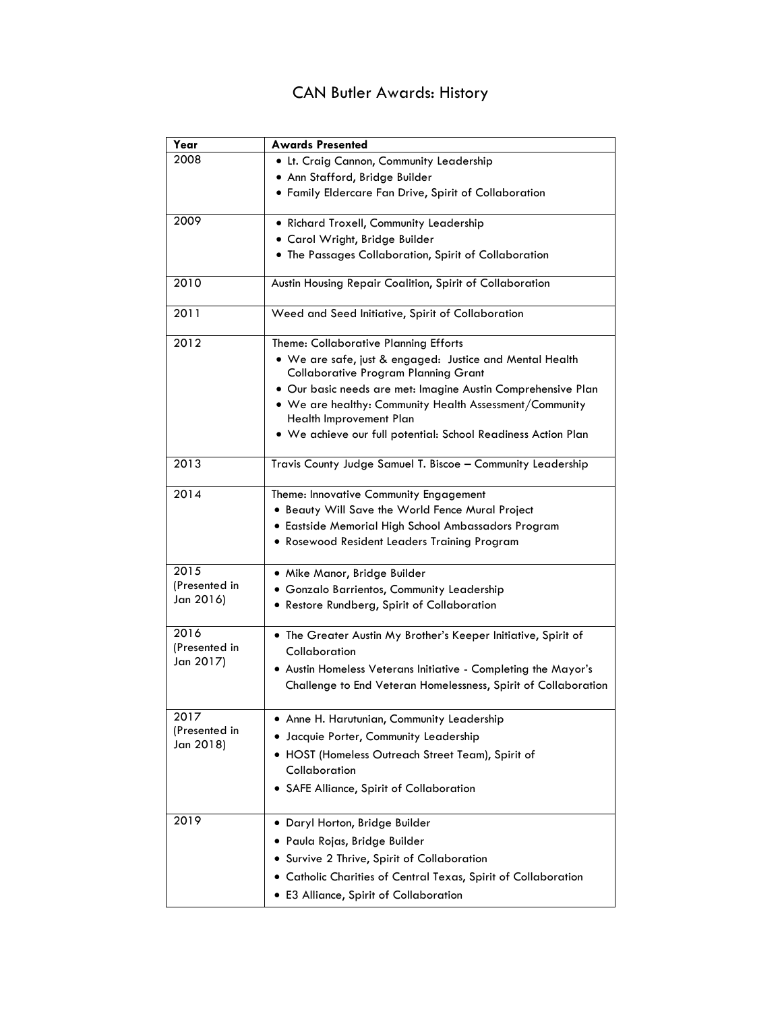## CAN Butler Awards: History

| Year          | <b>Awards Presented</b>                                                                                 |
|---------------|---------------------------------------------------------------------------------------------------------|
| 2008          | • Lt. Craig Cannon, Community Leadership                                                                |
|               | · Ann Stafford, Bridge Builder                                                                          |
|               | • Family Eldercare Fan Drive, Spirit of Collaboration                                                   |
| 2009          | · Richard Troxell, Community Leadership                                                                 |
|               | • Carol Wright, Bridge Builder                                                                          |
|               | • The Passages Collaboration, Spirit of Collaboration                                                   |
| 2010          | Austin Housing Repair Coalition, Spirit of Collaboration                                                |
| 2011          | Weed and Seed Initiative, Spirit of Collaboration                                                       |
| 2012          | Theme: Collaborative Planning Efforts                                                                   |
|               | . We are safe, just & engaged: Justice and Mental Health<br><b>Collaborative Program Planning Grant</b> |
|               | · Our basic needs are met: Imagine Austin Comprehensive Plan                                            |
|               | • We are healthy: Community Health Assessment/Community<br>Health Improvement Plan                      |
|               | . We achieve our full potential: School Readiness Action Plan                                           |
| 2013          | Travis County Judge Samuel T. Biscoe - Community Leadership                                             |
| 2014          | Theme: Innovative Community Engagement                                                                  |
|               | • Beauty Will Save the World Fence Mural Project                                                        |
|               | • Eastside Memorial High School Ambassadors Program                                                     |
|               | • Rosewood Resident Leaders Training Program                                                            |
| 2015          | · Mike Manor, Bridge Builder                                                                            |
| (Presented in | • Gonzalo Barrientos, Community Leadership                                                              |
| Jan 2016)     | • Restore Rundberg, Spirit of Collaboration                                                             |
| 2016          | • The Greater Austin My Brother's Keeper Initiative, Spirit of                                          |
| (Presented in | Collaboration                                                                                           |
| Jan 2017)     | . Austin Homeless Veterans Initiative - Completing the Mayor's                                          |
|               | Challenge to End Veteran Homelessness, Spirit of Collaboration                                          |
| 2017          | . Anne H. Harutunian, Community Leadership                                                              |
| (Presented in | Jacquie Porter, Community Leadership                                                                    |
| Jan 2018)     | • HOST (Homeless Outreach Street Team), Spirit of                                                       |
|               | Collaboration                                                                                           |
|               | • SAFE Alliance, Spirit of Collaboration                                                                |
| 2019          | · Daryl Horton, Bridge Builder                                                                          |
|               | • Paula Rojas, Bridge Builder                                                                           |
|               | • Survive 2 Thrive, Spirit of Collaboration                                                             |
|               | · Catholic Charities of Central Texas, Spirit of Collaboration                                          |
|               | • E3 Alliance, Spirit of Collaboration                                                                  |
|               |                                                                                                         |